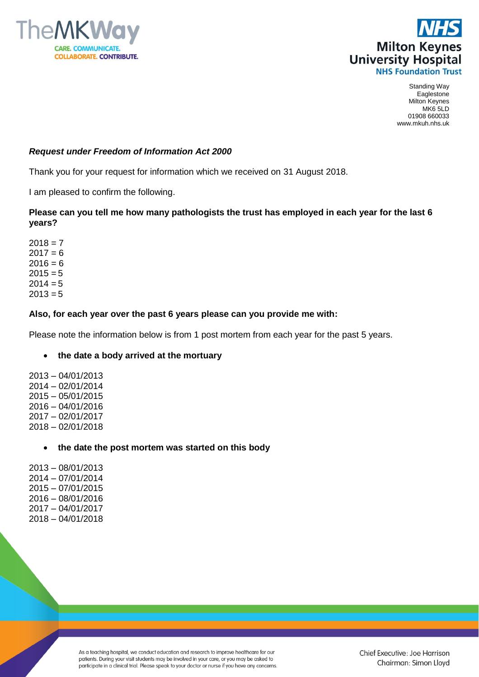



Standing Way Eaglestone Milton Keynes MK6 5LD 01908 660033 www.mkuh.nhs.uk

# *Request under Freedom of Information Act 2000*

Thank you for your request for information which we received on 31 August 2018.

I am pleased to confirm the following.

## **Please can you tell me how many pathologists the trust has employed in each year for the last 6 years?**

## **Also, for each year over the past 6 years please can you provide me with:**

Please note the information below is from 1 post mortem from each year for the past 5 years.

## **the date a body arrived at the mortuary**

2013 – 04/01/2013 2014 – 02/01/2014 2015 – 05/01/2015 2016 – 04/01/2016 2017 – 02/01/2017 2018 – 02/01/2018

## **the date the post mortem was started on this body**

2013 – 08/01/2013 2014 – 07/01/2014 2015 – 07/01/2015 2016 – 08/01/2016 2017 – 04/01/2017 2018 – 04/01/2018

> As a teaching hospital, we conduct education and research to improve healthcare for our patients. During your visit students may be involved in your care, or you may be asked to participate in a clinical trial. Please speak to your doctor or nurse if you have any concerns.